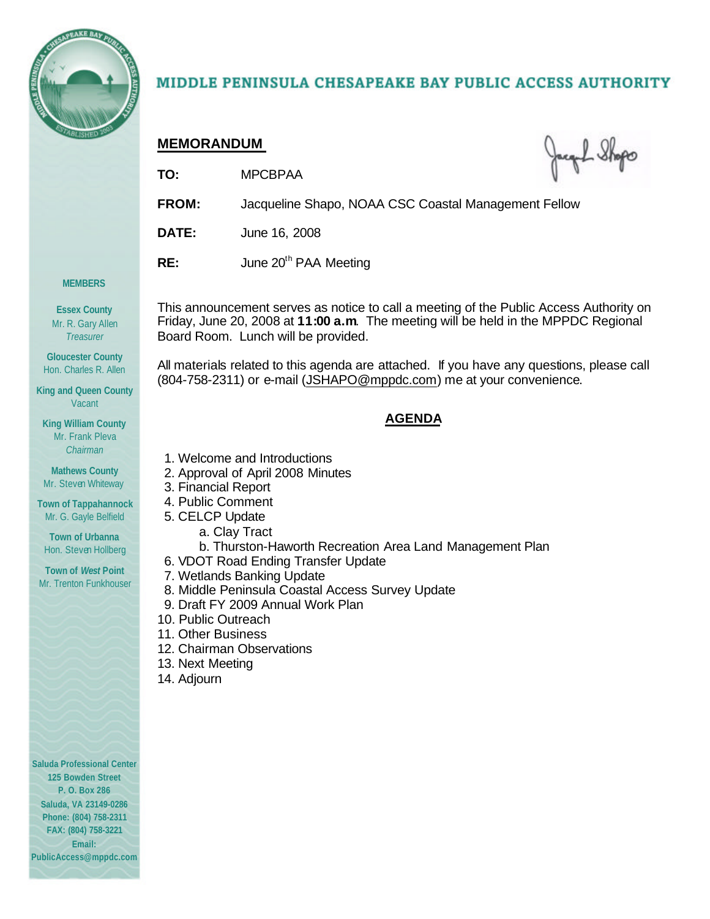

# MIDDLE PENINSULA CHESAPEAKE BAY PUBLIC ACCESS AUTHORITY

# **MEMORANDUM**

Jacquel Shops

- **TO:** MPCBPAA
- **FROM:** Jacqueline Shapo, NOAA CSC Coastal Management Fellow
- **DATE:** June 16, 2008
- **RE:** June 20<sup>th</sup> PAA Meeting

#### **MEMBERS**

**Essex County** Mr. R. Gary Allen *Treasurer*

**Gloucester County** Hon. Charles R. Allen

**King and Queen County** Vacant

**King William County** Mr. Frank Pleva *Chairman*

**Mathews County** Mr. Steven Whiteway

**Town of Tappahannock** Mr. G. Gayle Belfield

**Town of Urbanna** Hon. Steven Hollberg

**Town of** *West* **Point** Mr. Trenton Funkhouser This announcement serves as notice to call a meeting of the Public Access Authority on Friday, June 20, 2008 at **11:00 a.m**. The meeting will be held in the MPPDC Regional Board Room. Lunch will be provided.

All materials related to this agenda are attached. If you have any questions, please call (804-758-2311) or e-mail (JSHAPO@mppdc.com) me at your convenience.

# **AGENDA**

- 1. Welcome and Introductions
- 2. Approval of April 2008 Minutes
- 3. Financial Report
- 4. Public Comment
- 5. CELCP Update
	- a. Clay Tract
		- b. Thurston-Haworth Recreation Area Land Management Plan
- 6. VDOT Road Ending Transfer Update
- 7. Wetlands Banking Update
	- 8. Middle Peninsula Coastal Access Survey Update
	- 9. Draft FY 2009 Annual Work Plan
- 10. Public Outreach
- 11. Other Business
- 12. Chairman Observations
- 13. Next Meeting
- 14. Adjourn

**Saluda Professional Center 125 Bowden Street P. O. Box 286 Saluda, VA 23149-0286 Phone: (804) 758-2311 FAX: (804) 758-3221 Email: PublicAccess@mppdc.com**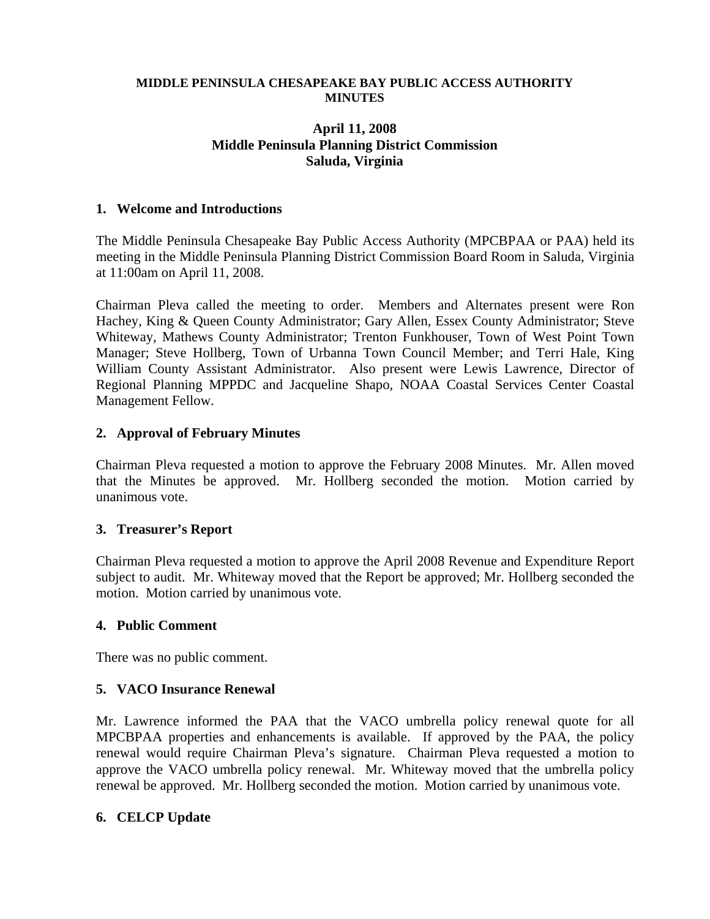#### **MIDDLE PENINSULA CHESAPEAKE BAY PUBLIC ACCESS AUTHORITY MINUTES**

### **April 11, 2008 Middle Peninsula Planning District Commission Saluda, Virginia**

#### **1. Welcome and Introductions**

The Middle Peninsula Chesapeake Bay Public Access Authority (MPCBPAA or PAA) held its meeting in the Middle Peninsula Planning District Commission Board Room in Saluda, Virginia at 11:00am on April 11, 2008.

Chairman Pleva called the meeting to order. Members and Alternates present were Ron Hachey, King & Queen County Administrator; Gary Allen, Essex County Administrator; Steve Whiteway, Mathews County Administrator; Trenton Funkhouser, Town of West Point Town Manager; Steve Hollberg, Town of Urbanna Town Council Member; and Terri Hale, King William County Assistant Administrator. Also present were Lewis Lawrence, Director of Regional Planning MPPDC and Jacqueline Shapo, NOAA Coastal Services Center Coastal Management Fellow.

#### **2. Approval of February Minutes**

Chairman Pleva requested a motion to approve the February 2008 Minutes. Mr. Allen moved that the Minutes be approved. Mr. Hollberg seconded the motion. Motion carried by unanimous vote.

#### **3. Treasurer's Report**

Chairman Pleva requested a motion to approve the April 2008 Revenue and Expenditure Report subject to audit. Mr. Whiteway moved that the Report be approved; Mr. Hollberg seconded the motion. Motion carried by unanimous vote.

#### **4. Public Comment**

There was no public comment.

#### **5. VACO Insurance Renewal**

Mr. Lawrence informed the PAA that the VACO umbrella policy renewal quote for all MPCBPAA properties and enhancements is available. If approved by the PAA, the policy renewal would require Chairman Pleva's signature. Chairman Pleva requested a motion to approve the VACO umbrella policy renewal. Mr. Whiteway moved that the umbrella policy renewal be approved. Mr. Hollberg seconded the motion. Motion carried by unanimous vote.

#### **6. CELCP Update**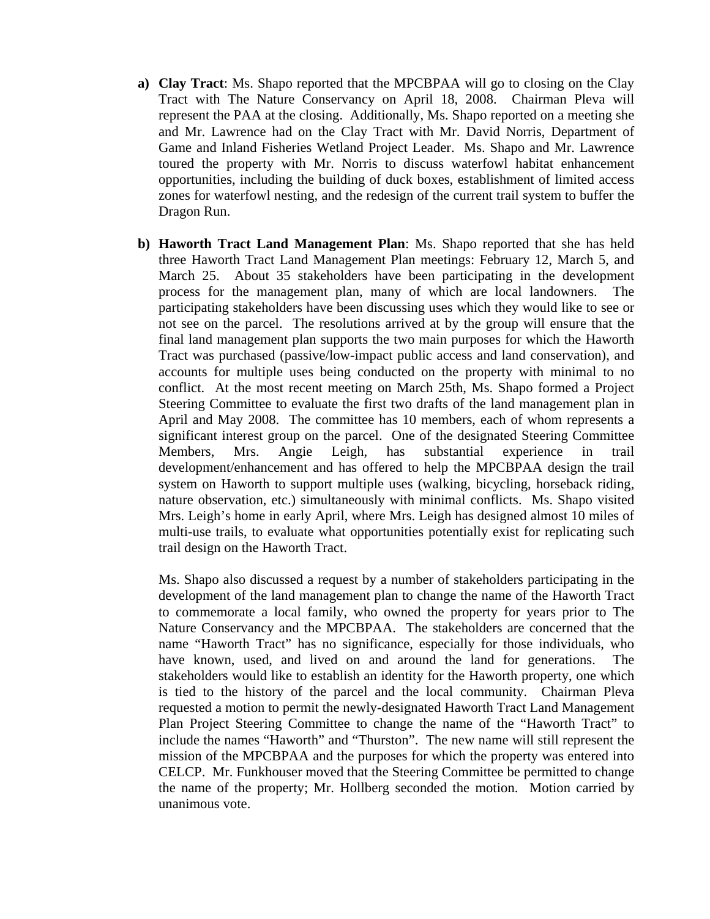- **a) Clay Tract**: Ms. Shapo reported that the MPCBPAA will go to closing on the Clay Tract with The Nature Conservancy on April 18, 2008. Chairman Pleva will represent the PAA at the closing. Additionally, Ms. Shapo reported on a meeting she and Mr. Lawrence had on the Clay Tract with Mr. David Norris, Department of Game and Inland Fisheries Wetland Project Leader. Ms. Shapo and Mr. Lawrence toured the property with Mr. Norris to discuss waterfowl habitat enhancement opportunities, including the building of duck boxes, establishment of limited access zones for waterfowl nesting, and the redesign of the current trail system to buffer the Dragon Run.
- **b) Haworth Tract Land Management Plan**: Ms. Shapo reported that she has held three Haworth Tract Land Management Plan meetings: February 12, March 5, and March 25. About 35 stakeholders have been participating in the development process for the management plan, many of which are local landowners. The participating stakeholders have been discussing uses which they would like to see or not see on the parcel. The resolutions arrived at by the group will ensure that the final land management plan supports the two main purposes for which the Haworth Tract was purchased (passive/low-impact public access and land conservation), and accounts for multiple uses being conducted on the property with minimal to no conflict. At the most recent meeting on March 25th, Ms. Shapo formed a Project Steering Committee to evaluate the first two drafts of the land management plan in April and May 2008. The committee has 10 members, each of whom represents a significant interest group on the parcel. One of the designated Steering Committee Members, Mrs. Angie Leigh, has substantial experience in trail development/enhancement and has offered to help the MPCBPAA design the trail system on Haworth to support multiple uses (walking, bicycling, horseback riding, nature observation, etc.) simultaneously with minimal conflicts. Ms. Shapo visited Mrs. Leigh's home in early April, where Mrs. Leigh has designed almost 10 miles of multi-use trails, to evaluate what opportunities potentially exist for replicating such trail design on the Haworth Tract.

Ms. Shapo also discussed a request by a number of stakeholders participating in the development of the land management plan to change the name of the Haworth Tract to commemorate a local family, who owned the property for years prior to The Nature Conservancy and the MPCBPAA. The stakeholders are concerned that the name "Haworth Tract" has no significance, especially for those individuals, who have known, used, and lived on and around the land for generations. The stakeholders would like to establish an identity for the Haworth property, one which is tied to the history of the parcel and the local community. Chairman Pleva requested a motion to permit the newly-designated Haworth Tract Land Management Plan Project Steering Committee to change the name of the "Haworth Tract" to include the names "Haworth" and "Thurston". The new name will still represent the mission of the MPCBPAA and the purposes for which the property was entered into CELCP. Mr. Funkhouser moved that the Steering Committee be permitted to change the name of the property; Mr. Hollberg seconded the motion. Motion carried by unanimous vote.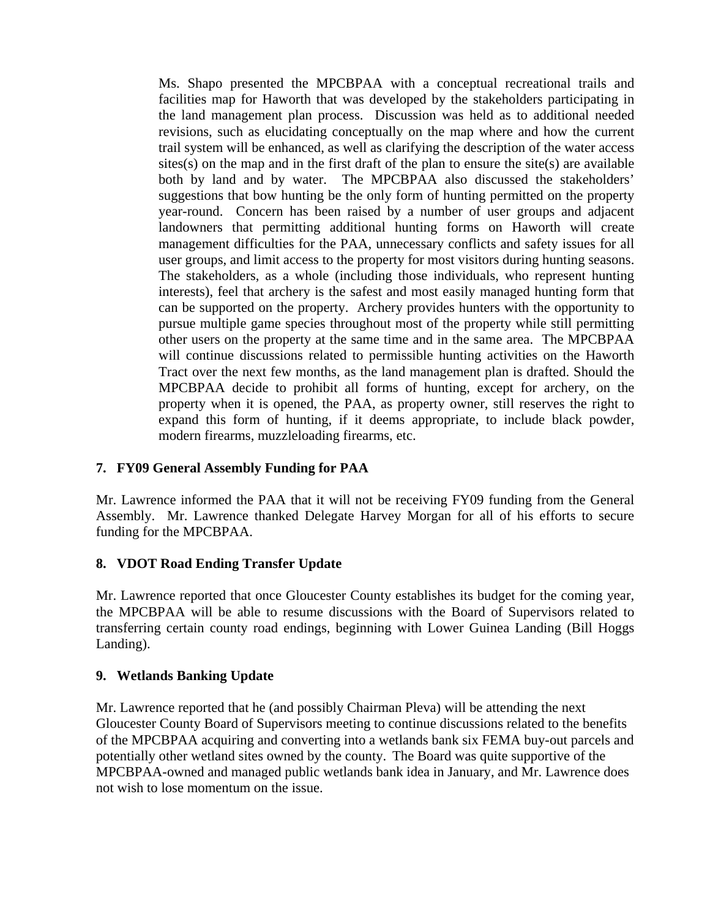Ms. Shapo presented the MPCBPAA with a conceptual recreational trails and facilities map for Haworth that was developed by the stakeholders participating in the land management plan process. Discussion was held as to additional needed revisions, such as elucidating conceptually on the map where and how the current trail system will be enhanced, as well as clarifying the description of the water access  $sites(s)$  on the map and in the first draft of the plan to ensure the site $(s)$  are available both by land and by water. The MPCBPAA also discussed the stakeholders' suggestions that bow hunting be the only form of hunting permitted on the property year-round. Concern has been raised by a number of user groups and adjacent landowners that permitting additional hunting forms on Haworth will create management difficulties for the PAA, unnecessary conflicts and safety issues for all user groups, and limit access to the property for most visitors during hunting seasons. The stakeholders, as a whole (including those individuals, who represent hunting interests), feel that archery is the safest and most easily managed hunting form that can be supported on the property. Archery provides hunters with the opportunity to pursue multiple game species throughout most of the property while still permitting other users on the property at the same time and in the same area. The MPCBPAA will continue discussions related to permissible hunting activities on the Haworth Tract over the next few months, as the land management plan is drafted. Should the MPCBPAA decide to prohibit all forms of hunting, except for archery, on the property when it is opened, the PAA, as property owner, still reserves the right to expand this form of hunting, if it deems appropriate, to include black powder, modern firearms, muzzleloading firearms, etc.

# **7. FY09 General Assembly Funding for PAA**

Mr. Lawrence informed the PAA that it will not be receiving FY09 funding from the General Assembly. Mr. Lawrence thanked Delegate Harvey Morgan for all of his efforts to secure funding for the MPCBPAA.

# **8. VDOT Road Ending Transfer Update**

Mr. Lawrence reported that once Gloucester County establishes its budget for the coming year, the MPCBPAA will be able to resume discussions with the Board of Supervisors related to transferring certain county road endings, beginning with Lower Guinea Landing (Bill Hoggs Landing).

# **9. Wetlands Banking Update**

Mr. Lawrence reported that he (and possibly Chairman Pleva) will be attending the next Gloucester County Board of Supervisors meeting to continue discussions related to the benefits of the MPCBPAA acquiring and converting into a wetlands bank six FEMA buy-out parcels and potentially other wetland sites owned by the county. The Board was quite supportive of the MPCBPAA-owned and managed public wetlands bank idea in January, and Mr. Lawrence does not wish to lose momentum on the issue.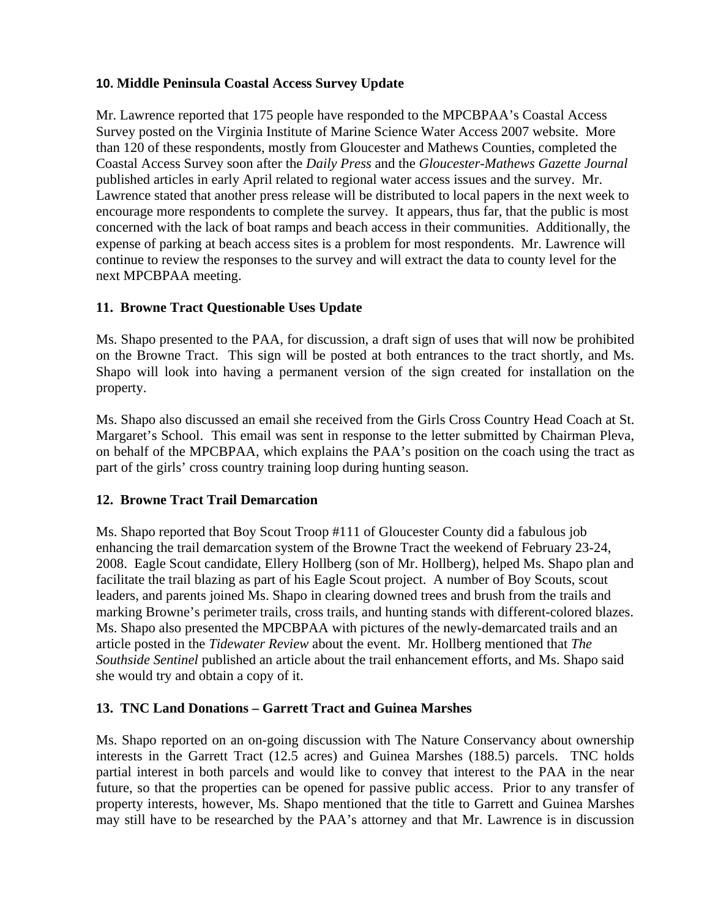# **10. Middle Peninsula Coastal Access Survey Update**

Mr. Lawrence reported that 175 people have responded to the MPCBPAA's Coastal Access Survey posted on the Virginia Institute of Marine Science Water Access 2007 website. More than 120 of these respondents, mostly from Gloucester and Mathews Counties, completed the Coastal Access Survey soon after the *Daily Press* and the *Gloucester-Mathews Gazette Journal* published articles in early April related to regional water access issues and the survey. Mr. Lawrence stated that another press release will be distributed to local papers in the next week to encourage more respondents to complete the survey. It appears, thus far, that the public is most concerned with the lack of boat ramps and beach access in their communities. Additionally, the expense of parking at beach access sites is a problem for most respondents. Mr. Lawrence will continue to review the responses to the survey and will extract the data to county level for the next MPCBPAA meeting.

# **11. Browne Tract Questionable Uses Update**

Ms. Shapo presented to the PAA, for discussion, a draft sign of uses that will now be prohibited on the Browne Tract. This sign will be posted at both entrances to the tract shortly, and Ms. Shapo will look into having a permanent version of the sign created for installation on the property.

Ms. Shapo also discussed an email she received from the Girls Cross Country Head Coach at St. Margaret's School. This email was sent in response to the letter submitted by Chairman Pleva, on behalf of the MPCBPAA, which explains the PAA's position on the coach using the tract as part of the girls' cross country training loop during hunting season.

# **12. Browne Tract Trail Demarcation**

Ms. Shapo reported that Boy Scout Troop #111 of Gloucester County did a fabulous job enhancing the trail demarcation system of the Browne Tract the weekend of February 23-24, 2008. Eagle Scout candidate, Ellery Hollberg (son of Mr. Hollberg), helped Ms. Shapo plan and facilitate the trail blazing as part of his Eagle Scout project. A number of Boy Scouts, scout leaders, and parents joined Ms. Shapo in clearing downed trees and brush from the trails and marking Browne's perimeter trails, cross trails, and hunting stands with different-colored blazes. Ms. Shapo also presented the MPCBPAA with pictures of the newly-demarcated trails and an article posted in the *Tidewater Review* about the event. Mr. Hollberg mentioned that *The Southside Sentinel* published an article about the trail enhancement efforts, and Ms. Shapo said she would try and obtain a copy of it.

# **13. TNC Land Donations – Garrett Tract and Guinea Marshes**

Ms. Shapo reported on an on-going discussion with The Nature Conservancy about ownership interests in the Garrett Tract (12.5 acres) and Guinea Marshes (188.5) parcels. TNC holds partial interest in both parcels and would like to convey that interest to the PAA in the near future, so that the properties can be opened for passive public access. Prior to any transfer of property interests, however, Ms. Shapo mentioned that the title to Garrett and Guinea Marshes may still have to be researched by the PAA's attorney and that Mr. Lawrence is in discussion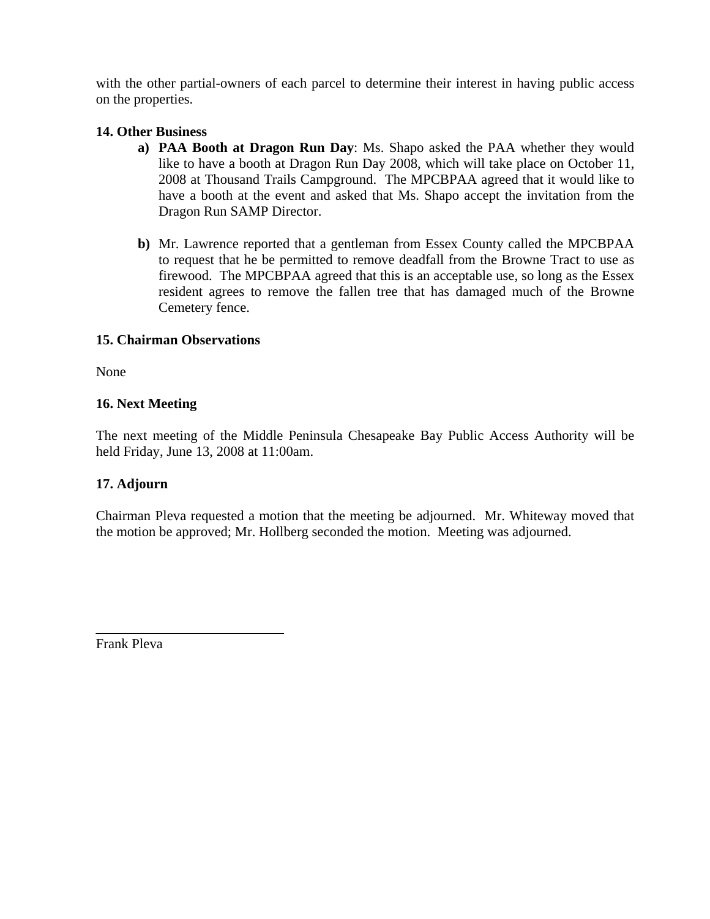with the other partial-owners of each parcel to determine their interest in having public access on the properties.

# **14. Other Business**

- **a) PAA Booth at Dragon Run Day**: Ms. Shapo asked the PAA whether they would like to have a booth at Dragon Run Day 2008, which will take place on October 11, 2008 at Thousand Trails Campground. The MPCBPAA agreed that it would like to have a booth at the event and asked that Ms. Shapo accept the invitation from the Dragon Run SAMP Director.
- **b)** Mr. Lawrence reported that a gentleman from Essex County called the MPCBPAA to request that he be permitted to remove deadfall from the Browne Tract to use as firewood. The MPCBPAA agreed that this is an acceptable use, so long as the Essex resident agrees to remove the fallen tree that has damaged much of the Browne Cemetery fence.

# **15. Chairman Observations**

None

# **16. Next Meeting**

The next meeting of the Middle Peninsula Chesapeake Bay Public Access Authority will be held Friday, June 13, 2008 at 11:00am.

# **17. Adjourn**

Chairman Pleva requested a motion that the meeting be adjourned. Mr. Whiteway moved that the motion be approved; Mr. Hollberg seconded the motion. Meeting was adjourned.

Frank Pleva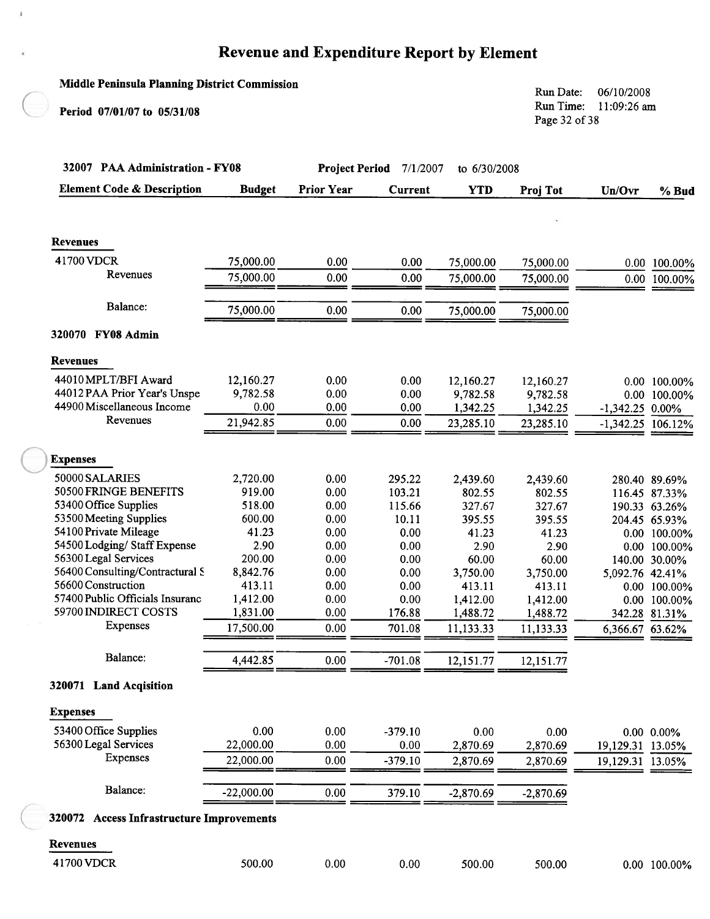#### **Middle Peninsula Planning District Commission** Run Date: 06/10/2008 Run Time: 11:09:26 am Period 07/01/07 to 05/31/08 Page 32 of 38 32007 PAA Administration - FY08 Project Period 7/1/2007 to 6/30/2008 **Element Code & Description Prior Year Budget Current YTD** Proj Tot Un/Ovr % Bud Revenues 41700 VDCR 75,000.00  $0.00$  $0.00$ 75,000.00 75,000.00 0.00 100.00% Revenues 75,000.00  $0.00$  $0.00$ 75,000.00 75,000.00  $0.00$ 100.00% Balance: 75,000.00  $0.00$  $0.00$ 75,000.00 75,000.00 320070 FY08 Admin **Revenues** 44010 MPLT/BFI Award 12,160.27  $0.00$  $0.00$ 12,160.27 12,160.27 0.00 100.00% 44012 PAA Prior Year's Unspe 9,782.58  $0.00$  $0.00$ 9,782.58 9,782.58 0.00 100.00% 44900 Miscellaneous Income  $0.00$  $0.00$  $0.00$ 1,342.25 1,342.25  $-1,342.25$  0.00% Revenues 21,942.85  $0.00$  $0.00$ 23.285.10 23,285.10  $-1,342.25$ 106.12% **Expenses** 50000 SALARIES 2,720.00  $0.00$ 295.22 2,439.60 2,439.60 280.40 89.69% 50500 FRINGE BENEFITS 919.00  $0.00$ 103.21 802.55 802.55 116.45 87.33% 53400 Office Supplies 518.00  $0.00$ 115.66 327.67 327.67 190.33 63.26% 53500 Meeting Supplies 600.00  $0.00$ 395.55 10.11 395.55 204.45 65.93% 54100 Private Mileage 41.23  $0.00$  $0.00$ 41.23 41.23 0.00 100.00% 54500 Lodging/Staff Expense 2.90  $0.00$  $0.00$ 2.90 2.90 0.00 100.00% 56300 Legal Services 200.00  $0.00$  $0.00$ 60.00 60.00 140.00 30.00% 56400 Consulting/Contractural S 8,842.76  $0.00$  $0.00$ 3,750.00 3,750.00 5,092.76 42.41% 56600 Construction 413.11  $0.00$  $0.00$ 413.11 413.11 0.00 100.00% 57400 Public Officials Insuranc 1,412.00  $0.00$  $0.00$ 1,412.00 1,412.00 0.00 100.00% 59700 INDIRECT COSTS 1,831.00  $0.00$ 176.88 1,488.72 1,488.72 342.28 81.31% Expenses  $0.00$ 17.500.00 701.08 11,133.33 11,133.33 6,366.67 63.62% Balance: 4,442.85  $0.00$  $-701.08$ 12,151.77 12,151.77 320071 Land Acqisition **Expenses** 53400 Office Supplies  $0.00$ 0.00  $-379.10$  $0.00$  $0.00$  $0.00 \quad 0.00\%$ 56300 Legal Services 22,000.00  $0.00$  $0.00$ 2,870.69 2,870.69 19,129.31 13.05% Expenses 22,000.00  $0.00$  $-379.10$ 2,870.69 2,870.69 19,129.31 13.05% Balance:  $-22,000.00$  $0.00$ 379.10  $-2,870.69$  $-2.870.69$ 320072 Access Infrastructure Improvements **Revenues**

41700 VDCR

500.00

 $0.00$ 

 $0.00$ 

500.00

500.00

0.00 100.00%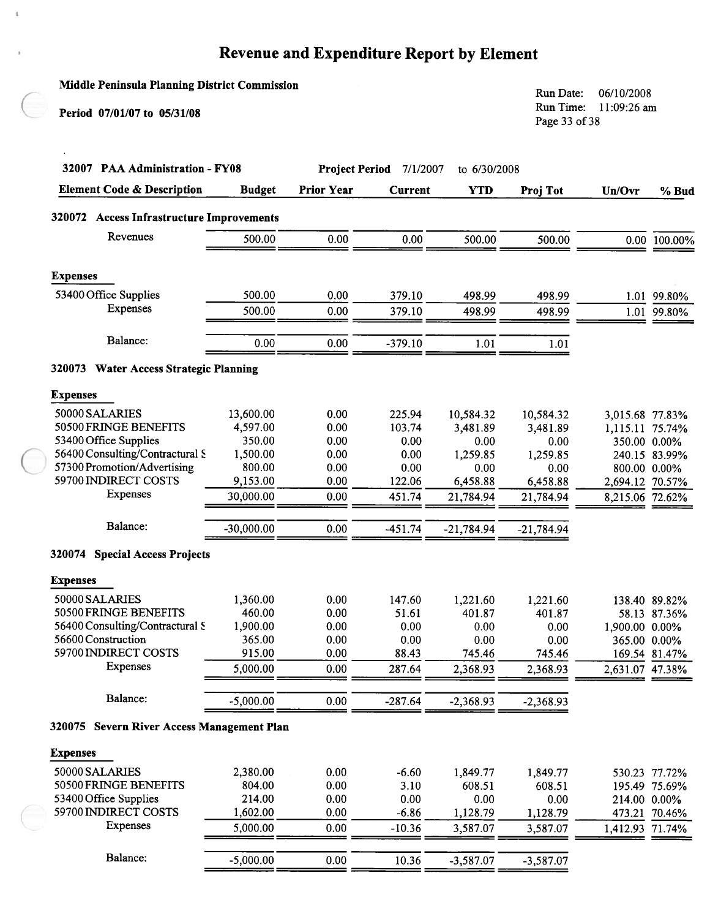$\mathbf{t}$ 

| <b>Middle Peninsula Planning District Commission</b><br>Period 07/01/07 to 05/31/08 |                    |                                                   |                |                  | Run Date:<br>06/10/2008<br>Run Time:<br>11:09:26 am<br>Page 33 of 38 |                                 |               |  |
|-------------------------------------------------------------------------------------|--------------------|---------------------------------------------------|----------------|------------------|----------------------------------------------------------------------|---------------------------------|---------------|--|
| 32007 PAA Administration - FY08                                                     |                    | <b>Project Period</b><br>7/1/2007<br>to 6/30/2008 |                |                  |                                                                      |                                 |               |  |
| <b>Element Code &amp; Description</b>                                               | <b>Budget</b>      | <b>Prior Year</b>                                 | <b>Current</b> | <b>YTD</b>       | Proj Tot                                                             | Un/Ovr                          | % Bud         |  |
| 320072 Access Infrastructure Improvements                                           |                    |                                                   |                |                  |                                                                      |                                 |               |  |
| Revenues                                                                            | 500.00             | 0.00                                              | 0.00           | 500.00           | 500.00                                                               |                                 | 0.00 100.00%  |  |
| <b>Expenses</b>                                                                     |                    |                                                   |                |                  |                                                                      |                                 |               |  |
| 53400 Office Supplies                                                               | 500.00             | 0.00                                              |                |                  |                                                                      |                                 |               |  |
| Expenses                                                                            |                    |                                                   | 379.10         | 498.99           | 498.99                                                               |                                 | 1.01 99.80%   |  |
|                                                                                     | 500.00             | 0.00                                              | 379.10         | 498.99           | 498.99                                                               |                                 | 1.01 99.80%   |  |
| Balance:                                                                            | 0.00               | 0.00                                              | $-379.10$      | 1.01             | 1.01                                                                 |                                 |               |  |
| 320073 Water Access Strategic Planning                                              |                    |                                                   |                |                  |                                                                      |                                 |               |  |
| <b>Expenses</b>                                                                     |                    |                                                   |                |                  |                                                                      |                                 |               |  |
| 50000 SALARIES                                                                      | 13,600.00          | 0.00                                              | 225.94         | 10,584.32        | 10,584.32                                                            | 3,015.68 77.83%                 |               |  |
| 50500 FRINGE BENEFITS                                                               | 4,597.00           | 0.00                                              | 103.74         | 3,481.89         | 3,481.89                                                             | 1,115.11 75.74%                 |               |  |
| 53400 Office Supplies                                                               | 350.00             | 0.00                                              | 0.00           | 0.00             | 0.00                                                                 |                                 | 350.00 0.00%  |  |
| 56400 Consulting/Contractural S<br>57300 Promotion/Advertising                      | 1,500.00<br>800.00 | 0.00<br>0.00                                      | 0.00<br>0.00   | 1,259.85<br>0.00 | 1,259.85                                                             |                                 | 240.15 83.99% |  |
| 59700 INDIRECT COSTS                                                                | 9,153.00           | 0.00                                              | 122.06         | 6,458.88         | 0.00<br>6,458.88                                                     | 800.00 0.00%<br>2,694.12 70.57% |               |  |
| Expenses                                                                            | 30,000.00          | 0.00                                              | 451.74         | 21,784.94        | 21,784.94                                                            | 8,215.06 72.62%                 |               |  |
| Balance:                                                                            | $-30,000.00$       | 0.00                                              | $-451.74$      | $-21,784.94$     | $-21,784.94$                                                         |                                 |               |  |
| 320074 Special Access Projects                                                      |                    |                                                   |                |                  |                                                                      |                                 |               |  |
| <b>Expenses</b>                                                                     |                    |                                                   |                |                  |                                                                      |                                 |               |  |
| 50000 SALARIES                                                                      | 1,360.00           | 0.00                                              | 147.60         | 1,221.60         | 1,221.60                                                             |                                 | 138.40 89.82% |  |
| 50500 FRINGE BENEFITS                                                               | 460.00             | 0.00                                              | 51.61          | 401.87           | 401.87                                                               |                                 | 58.13 87.36%  |  |
| 56400 Consulting/Contractural S                                                     | 1,900.00           | 0.00                                              | 0.00           | 0.00             | 0.00                                                                 | 1,900.00 0.00%                  |               |  |
| 56600 Construction                                                                  | 365.00             | 0.00                                              | 0.00           | 0.00             | 0.00                                                                 | 365.00 0.00%                    |               |  |
| 59700 INDIRECT COSTS<br><b>Expenses</b>                                             | 915.00             | 0.00                                              | 88.43          | 745.46           | 745.46                                                               |                                 | 169.54 81.47% |  |
|                                                                                     | 5,000.00           | 0.00                                              | 287.64         | 2,368.93         | 2,368.93                                                             | 2,631.07 47.38%                 |               |  |
| Balance:                                                                            | $-5,000.00$        | 0.00                                              | $-287.64$      | $-2,368.93$      | $-2,368.93$                                                          |                                 |               |  |
| 320075 Severn River Access Management Plan                                          |                    |                                                   |                |                  |                                                                      |                                 |               |  |
| <b>Expenses</b>                                                                     |                    |                                                   |                |                  |                                                                      |                                 |               |  |
| 50000 SALARIES                                                                      | 2,380.00           | 0.00                                              | $-6.60$        | 1,849.77         | 1,849.77                                                             |                                 | 530.23 77.72% |  |
| 50500 FRINGE BENEFITS                                                               | 804.00             | 0.00                                              | 3.10           | 608.51           | 608.51                                                               |                                 | 195.49 75.69% |  |
| 53400 Office Supplies                                                               | 214.00             | 0.00                                              | 0.00           | 0.00             | 0.00                                                                 | 214.00 0.00%                    |               |  |
| 59700 INDIRECT COSTS                                                                | 1,602.00           | 0.00                                              | $-6.86$        | 1,128.79         | 1,128.79                                                             |                                 | 473.21 70.46% |  |
| Expenses                                                                            | 5,000.00           | 0.00                                              | $-10.36$       | 3,587.07         | 3,587.07                                                             | 1,412.93 71.74%                 |               |  |
| Balance:                                                                            | $-5,000.00$        | 0.00                                              | 10.36          | $-3,587.07$      | $-3,587.07$                                                          |                                 |               |  |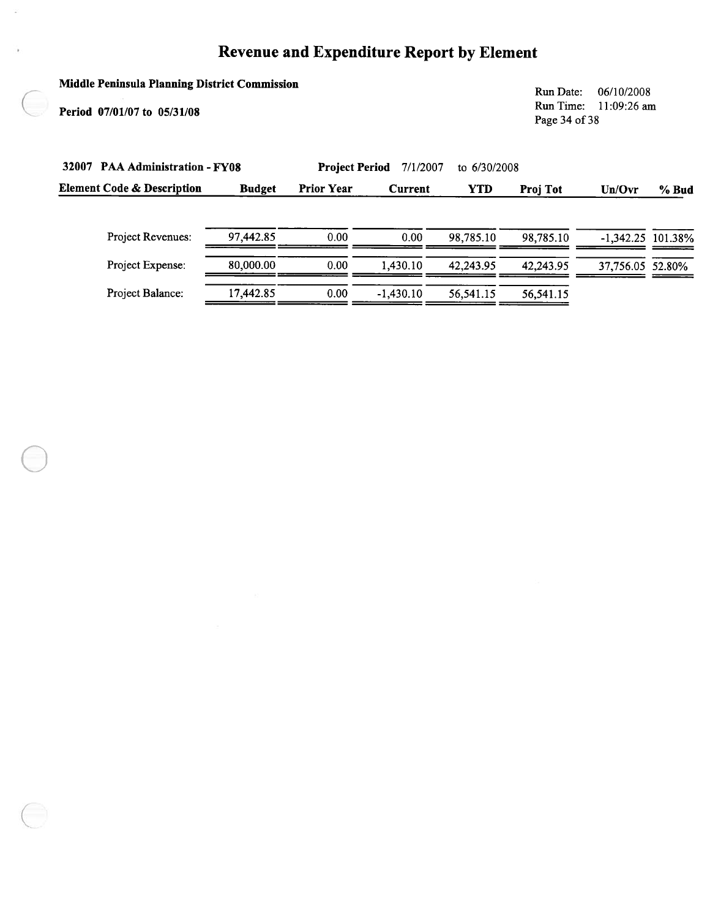# Middle Peninsula Planning District Commission

Period 07/01/07 to 05/31/08

Run Date: 06/10/2008 Run Time: 11:09:26 am Page 34 of 38

| 32007                                 | <b>PAA Administration - FY08</b> |                   |                | 7/1/2007   | to 6/30/2008    |                  |         |  |
|---------------------------------------|----------------------------------|-------------------|----------------|------------|-----------------|------------------|---------|--|
| <b>Element Code &amp; Description</b> | <b>Budget</b>                    | <b>Prior Year</b> | <b>Current</b> | <b>YTD</b> | <b>Proj Tot</b> | Un/Ovr           | % Bud   |  |
| <b>Project Revenues:</b>              | 97,442.85                        | 0.00              | 0.00           | 98,785.10  | 98.785.10       | $-1,342.25$      | 101.38% |  |
| Project Expense:                      | 80,000.00                        | 0.00              | 1.430.10       | 42.243.95  | 42.243.95       | 37,756.05 52.80% |         |  |
| Project Balance:                      | 17.442.85                        | 0.00              | $-1.430.10$    | 56,541.15  | 56,541.15       |                  |         |  |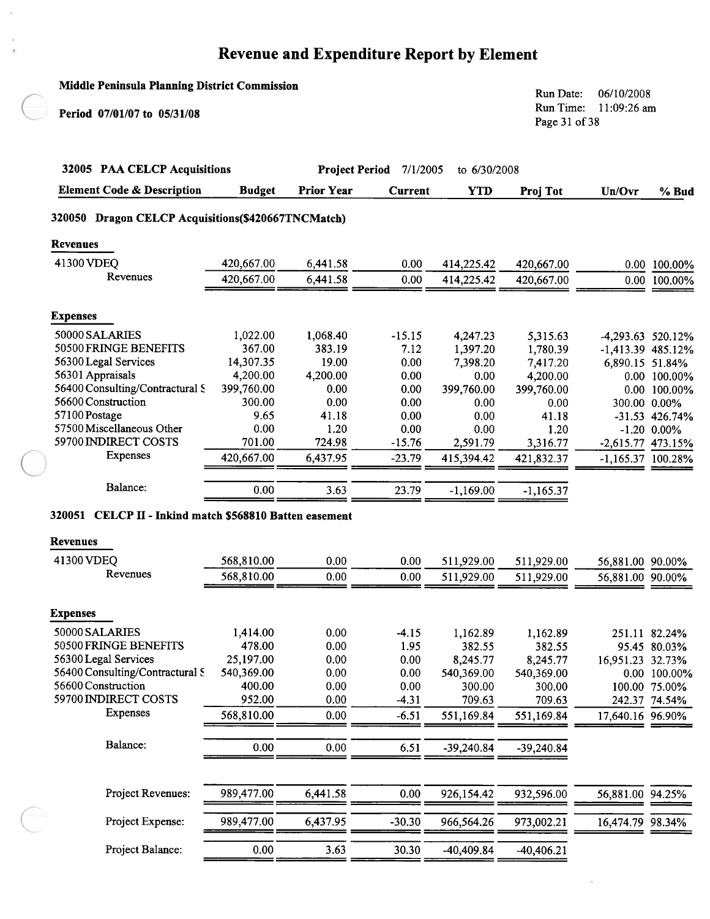$\lambda$ 

 $\overline{\phantom{a}}$ 

 $\bar{L}$ 

| <b>Middle Peninsula Planning District Commission</b>                       |                    |                       |                |                  |                                                                      |                     |                                   |  |
|----------------------------------------------------------------------------|--------------------|-----------------------|----------------|------------------|----------------------------------------------------------------------|---------------------|-----------------------------------|--|
| Period 07/01/07 to 05/31/08                                                |                    |                       |                |                  | Run Date:<br>06/10/2008<br>Run Time:<br>11:09:26 am<br>Page 31 of 38 |                     |                                   |  |
| 32005 PAA CELCP Acquisitions                                               |                    | <b>Project Period</b> | 7/1/2005       | to 6/30/2008     |                                                                      |                     |                                   |  |
| <b>Element Code &amp; Description</b>                                      | <b>Budget</b>      | <b>Prior Year</b>     | <b>Current</b> | <b>YTD</b>       | Proj Tot                                                             | Un/Ovr              | % Bud                             |  |
| 320050 Dragon CELCP Acquisitions(\$420667TNCMatch)                         |                    |                       |                |                  |                                                                      |                     |                                   |  |
|                                                                            |                    |                       |                |                  |                                                                      |                     |                                   |  |
| Revenues                                                                   |                    |                       |                |                  |                                                                      |                     |                                   |  |
| 41300 VDEQ                                                                 | 420,667.00         | 6,441.58              | 0.00           | 414,225.42       | 420,667.00                                                           |                     | 0.00 100.00%                      |  |
| Revenues                                                                   | 420,667.00         | 6,441.58              | 0.00           | 414,225.42       | 420,667.00                                                           |                     | 0.00 100.00%                      |  |
| <b>Expenses</b>                                                            |                    |                       |                |                  |                                                                      |                     |                                   |  |
|                                                                            |                    |                       |                |                  |                                                                      |                     |                                   |  |
| 50000 SALARIES<br>50500 FRINGE BENEFITS                                    | 1,022.00<br>367.00 | 1,068.40<br>383.19    | $-15.15$       | 4,247.23         | 5,315.63                                                             | $-4,293.63$ 520.12% |                                   |  |
| 56300 Legal Services                                                       | 14,307.35          | 19.00                 | 7.12           | 1,397.20         | 1,780.39                                                             | -1,413.39 485.12%   |                                   |  |
| 56301 Appraisals                                                           | 4,200.00           | 4,200.00              | 0.00<br>0.00   | 7,398.20<br>0.00 | 7,417.20                                                             | 6,890.15 51.84%     |                                   |  |
| 56400 Consulting/Contractural S                                            | 399,760.00         | 0.00                  | 0.00           | 399,760.00       | 4,200.00<br>399,760.00                                               |                     | 0.00 100.00%<br>0.00 100.00%      |  |
| 56600 Construction                                                         | 300.00             | 0.00                  | 0.00           | 0.00             | 0.00                                                                 |                     | 300.00 0.00%                      |  |
| 57100 Postage                                                              | 9.65               | 41.18                 | 0.00           | 0.00             | 41.18                                                                |                     |                                   |  |
| 57500 Miscellaneous Other                                                  | 0.00               | 1.20                  | 0.00           | 0.00             | 1.20                                                                 |                     | $-31.53$ 426.74%<br>$-1.20$ 0.00% |  |
| 59700 INDIRECT COSTS                                                       | 701.00             | 724.98                | $-15.76$       | 2,591.79         |                                                                      |                     |                                   |  |
| <b>Expenses</b>                                                            |                    |                       |                |                  | 3,316.77                                                             | $-2,615.77$ 473.15% |                                   |  |
|                                                                            | 420,667.00         | 6,437.95              | $-23.79$       | 415,394.42       | 421,832.37                                                           | $-1,165.37$ 100.28% |                                   |  |
| Balance:                                                                   | 0.00               | 3.63                  | 23.79          | $-1,169.00$      | $-1,165.37$                                                          |                     |                                   |  |
| 320051 CELCP II - Inkind match \$568810 Batten easement<br><b>Revenues</b> |                    |                       |                |                  |                                                                      |                     |                                   |  |
|                                                                            |                    |                       |                |                  |                                                                      |                     |                                   |  |
| 41300 VDEQ                                                                 | 568,810.00         | 0.00                  | 0.00           | 511,929.00       | 511,929.00                                                           | 56,881.00 90.00%    |                                   |  |
| Revenues                                                                   | 568,810.00         | 0.00                  | 0.00           | 511,929.00       | 511,929.00                                                           | 56,881.00 90.00%    |                                   |  |
| <b>Expenses</b>                                                            |                    |                       |                |                  |                                                                      |                     |                                   |  |
| 50000 SALARIES                                                             | 1,414.00           | 0.00                  | $-4.15$        | 1,162.89         | 1,162.89                                                             |                     | 251.11 82.24%                     |  |
| 50500 FRINGE BENEFITS                                                      | 478.00             | 0.00                  | 1.95           | 382.55           | 382.55                                                               |                     | 95.45 80.03%                      |  |
| 56300 Legal Services                                                       | 25,197.00          | 0.00                  | 0.00           | 8,245.77         | 8,245.77                                                             | 16,951.23 32.73%    |                                   |  |
| 56400 Consulting/Contractural S                                            | 540,369.00         | 0.00                  | 0.00           | 540,369.00       | 540,369.00                                                           |                     | 0.00 100.00%                      |  |
| 56600 Construction                                                         | 400.00             | 0.00                  | 0.00           | 300.00           | 300.00                                                               |                     | 100.00 75.00%                     |  |
| 59700 INDIRECT COSTS                                                       | 952.00             | 0.00                  | $-4.31$        | 709.63           | 709.63                                                               |                     | 242.37 74.54%                     |  |
| <b>Expenses</b>                                                            | 568,810.00         | 0.00                  | $-6.51$        | 551,169.84       | 551,169.84                                                           | 17,640.16 96.90%    |                                   |  |
|                                                                            |                    |                       |                |                  |                                                                      |                     |                                   |  |
| Balance:                                                                   | 0.00               | 0.00                  | 6.51           | $-39,240.84$     | $-39,240.84$                                                         |                     |                                   |  |
| Project Revenues:                                                          | 989,477.00         | 6,441.58              | 0.00           | 926,154.42       | 932,596.00                                                           | 56,881.00 94.25%    |                                   |  |
|                                                                            |                    |                       |                |                  |                                                                      |                     |                                   |  |
| Project Expense:                                                           | 989,477.00         | 6,437.95              | $-30.30$       | 966,564.26       | 973,002.21                                                           | 16,474.79 98.34%    |                                   |  |
| Project Balance:                                                           | 0.00               | 3.63                  | 30.30          | $-40,409.84$     | $-40,406.21$                                                         |                     |                                   |  |

82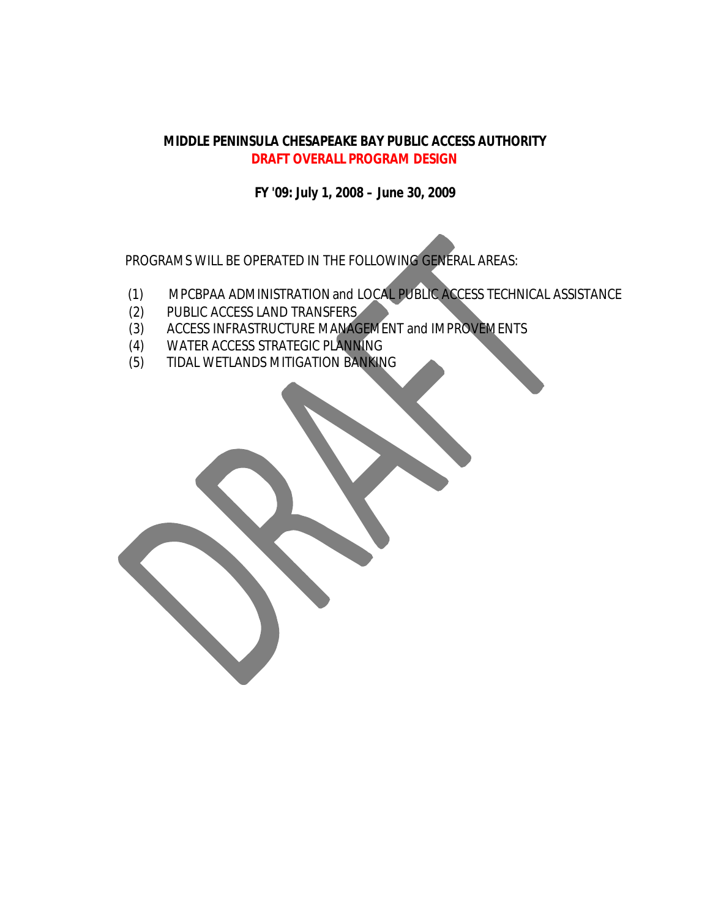### **MIDDLE PENINSULA CHESAPEAKE BAY PUBLIC ACCESS AUTHORITY DRAFT OVERALL PROGRAM DESIGN**

**FY '09: July 1, 2008 – June 30, 2009**

PROGRAMS WILL BE OPERATED IN THE FOLLOWING GENERAL AREAS:

- (1) MPCBPAA ADMINISTRATION and LOCAL PUBLIC ACCESS TECHNICAL ASSISTANCE
- (2) PUBLIC ACCESS LAND TRANSFERS
- (3) ACCESS INFRASTRUCTURE MANAGEMENT and IMPROVEMENTS
- (4) WATER ACCESS STRATEGIC PLANNING
- (5) TIDAL WETLANDS MITIGATION BANKING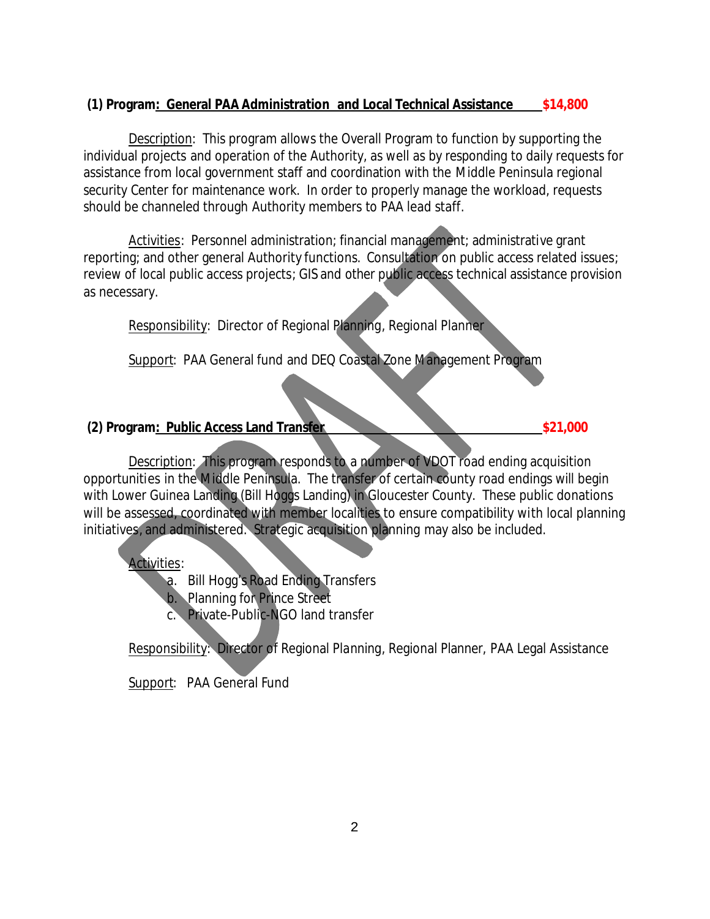# **(1) Program: General PAA Administration and Local Technical Assistance \$14,800**

Description: This program allows the Overall Program to function by supporting the individual projects and operation of the Authority, as well as by responding to daily requests for assistance from local government staff and coordination with the Middle Peninsula regional security Center for maintenance work. In order to properly manage the workload, requests should be channeled through Authority members to PAA lead staff.

Activities: Personnel administration; financial management; administrative grant reporting; and other general Authority functions. Consultation on public access related issues; review of local public access projects; GIS and other public access technical assistance provision as necessary.

Responsibility: Director of Regional Planning, Regional Planner

Support: PAA General fund and DEQ Coastal Zone Management Program

# **(2) Program: Public Access Land Transfer \$21,000 \$21,000**

Description: This program responds to a number of VDOT road ending acquisition opportunities in the Middle Peninsula. The transfer of certain county road endings will begin with Lower Guinea Landing (Bill Hoggs Landing) in Gloucester County. These public donations will be assessed, coordinated with member localities to ensure compatibility with local planning initiatives, and administered. Strategic acquisition planning may also be included.

Activities:

a. Bill Hogg's Road Ending Transfers

b. Planning for Prince Street

c. Private-Public-NGO land transfer

Responsibility: Director of Regional Planning, Regional Planner, PAA Legal Assistance

Support: PAA General Fund